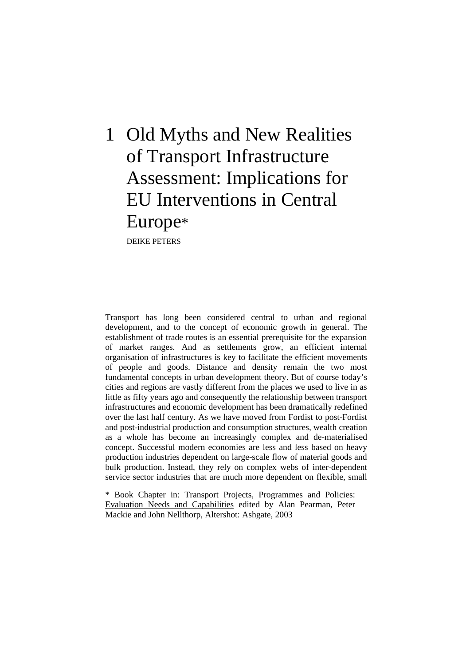# 1 Old Myths and New Realities of Transport Infrastructure Assessment: Implications for EU Interventions in Central Europe\*

DEIKE PETERS

Transport has long been considered central to urban and regional development, and to the concept of economic growth in general. The establishment of trade routes is an essential prerequisite for the expansion of market ranges. And as settlements grow, an efficient internal organisation of infrastructures is key to facilitate the efficient movements of people and goods. Distance and density remain the two most fundamental concepts in urban development theory. But of course today's cities and regions are vastly different from the places we used to live in as little as fifty years ago and consequently the relationship between transport infrastructures and economic development has been dramatically redefined over the last half century. As we have moved from Fordist to post-Fordist and post-industrial production and consumption structures, wealth creation as a whole has become an increasingly complex and de-materialised concept. Successful modern economies are less and less based on heavy production industries dependent on large-scale flow of material goods and bulk production. Instead, they rely on complex webs of inter-dependent service sector industries that are much more dependent on flexible, small

\* Book Chapter in: Transport Projects, Programmes and Policies: Evaluation Needs and Capabilities edited by Alan Pearman, Peter Mackie and John Nellthorp, Altershot: Ashgate, 2003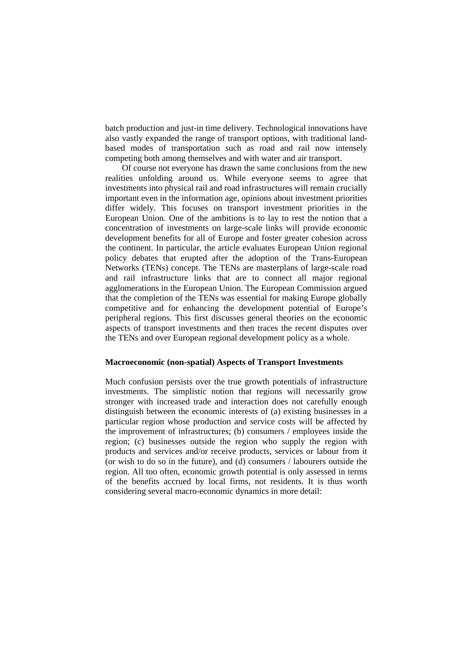batch production and just-in time delivery. Technological innovations have also vastly expanded the range of transport options, with traditional landbased modes of transportation such as road and rail now intensely competing both among themselves and with water and air transport.

Of course not everyone has drawn the same conclusions from the new realities unfolding around us. While everyone seems to agree that investments into physical rail and road infrastructures will remain crucially important even in the information age, opinions about investment priorities differ widely. This focuses on transport investment priorities in the European Union. One of the ambitions is to lay to rest the notion that a concentration of investments on large-scale links will provide economic development benefits for all of Europe and foster greater cohesion across the continent. In particular, the article evaluates European Union regional policy debates that erupted after the adoption of the Trans-European Networks (TENs) concept. The TENs are masterplans of large-scale road and rail infrastructure links that are to connect all major regional agglomerations in the European Union. The European Commission argued that the completion of the TENs was essential for making Europe globally competitive and for enhancing the development potential of Europe's peripheral regions. This first discusses general theories on the economic aspects of transport investments and then traces the recent disputes over the TENs and over European regional development policy as a whole.

#### **Macroeconomic (non-spatial) Aspects of Transport Investments**

Much confusion persists over the true growth potentials of infrastructure investments. The simplistic notion that regions will necessarily grow stronger with increased trade and interaction does not carefully enough distinguish between the economic interests of (a) existing businesses in a particular region whose production and service costs will be affected by the improvement of infrastructures; (b) consumers / employees inside the region; (c) businesses outside the region who supply the region with products and services and/or receive products, services or labour from it (or wish to do so in the future), and  $(d)$  consumers / labourers outside the region. All too often, economic growth potential is only assessed in terms of the benefits accrued by local firms, not residents. It is thus worth considering several macro-economic dynamics in more detail: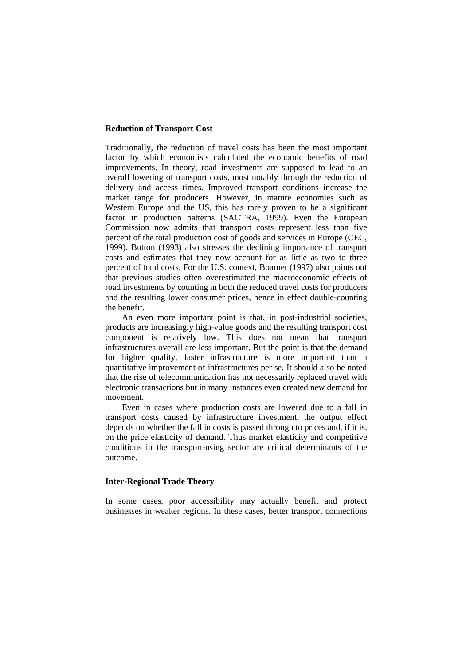## **Reduction of Transport Cost**

Traditionally, the reduction of travel costs has been the most important factor by which economists calculated the economic benefits of road improvements. In theory, road investments are supposed to lead to an overall lowering of transport costs, most notably through the reduction of delivery and access times. Improved transport conditions increase the market range for producers. However, in mature economies such as Western Europe and the US, this has rarely proven to be a significant factor in production patterns (SACTRA, 1999). Even the European Commission now admits that transport costs represent less than five percent of the total production cost of goods and services in Europe (CEC, 1999). Button (1993) also stresses the declining importance of transport costs and estimates that they now account for as little as two to three percent of total costs. For the U.S. context, Boarnet (1997) also points out that previous studies often overestimated the macroeconomic effects of road investments by counting in both the reduced travel costs for producers and the resulting lower consumer prices, hence in effect double-counting the benefit.

An even more important point is that, in post-industrial societies, products are increasingly high-value goods and the resulting transport cost component is relatively low. This does not mean that transport infrastructures overall are less important. But the point is that the demand for higher quality, faster infrastructure is more important than a quantitative improvement of infrastructures per se. It should also be noted that the rise of telecommunication has not necessarily replaced travel with electronic transactions but in many instances even created new demand for movement.

Even in cases where production costs are lowered due to a fall in transport costs caused by infrastructure investment, the output effect depends on whether the fall in costs is passed through to prices and, if it is, on the price elasticity of demand. Thus market elasticity and competitive conditions in the transport-using sector are critical determinants of the outcome.

# **Inter-Regional Trade Theory**

In some cases, poor accessibility may actually benefit and protect businesses in weaker regions. In these cases, better transport connections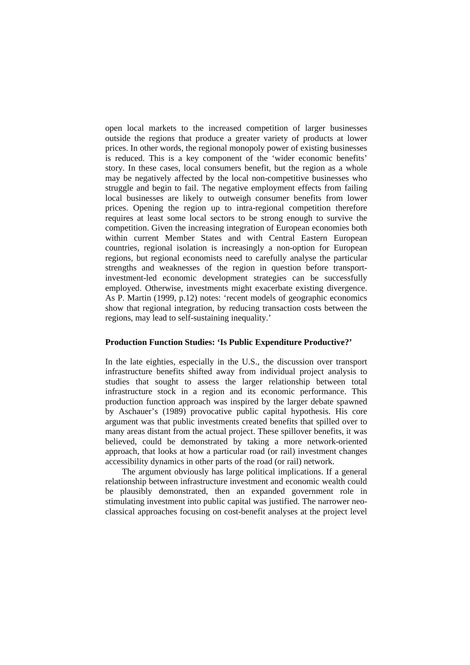open local markets to the increased competition of larger businesses outside the regions that produce a greater variety of products at lower prices. In other words, the regional monopoly power of existing businesses is reduced. This is a key component of the 'wider economic benefits' story. In these cases, local consumers benefit, but the region as a whole may be negatively affected by the local non-competitive businesses who struggle and begin to fail. The negative employment effects from failing local businesses are likely to outweigh consumer benefits from lower prices. Opening the region up to intra-regional competition therefore requires at least some local sectors to be strong enough to survive the competition. Given the increasing integration of European economies both within current Member States and with Central Eastern European countries, regional isolation is increasingly a non-option for European regions, but regional economists need to carefully analyse the particular strengths and weaknesses of the region in question before transportinvestment-led economic development strategies can be successfully employed. Otherwise, investments might exacerbate existing divergence. As P. Martin (1999, p.12) notes: 'recent models of geographic economics show that regional integration, by reducing transaction costs between the regions, may lead to self-sustaining inequality.'

# **Production Function Studies: 'Is Public Expenditure Productive?'**

In the late eighties, especially in the U.S., the discussion over transport infrastructure benefits shifted away from individual project analysis to studies that sought to assess the larger relationship between total infrastructure stock in a region and its economic performance. This production function approach was inspired by the larger debate spawned by Aschauer's (1989) provocative public capital hypothesis. His core argument was that public investments created benefits that spilled over to many areas distant from the actual project. These spillover benefits, it was believed, could be demonstrated by taking a more network-oriented approach, that looks at how a particular road (or rail) investment changes accessibility dynamics in other parts of the road (or rail) network.

The argument obviously has large political implications. If a general relationship between infrastructure investment and economic wealth could be plausibly demonstrated, then an expanded government role in stimulating investment into public capital was justified. The narrower neoclassical approaches focusing on cost-benefit analyses at the project level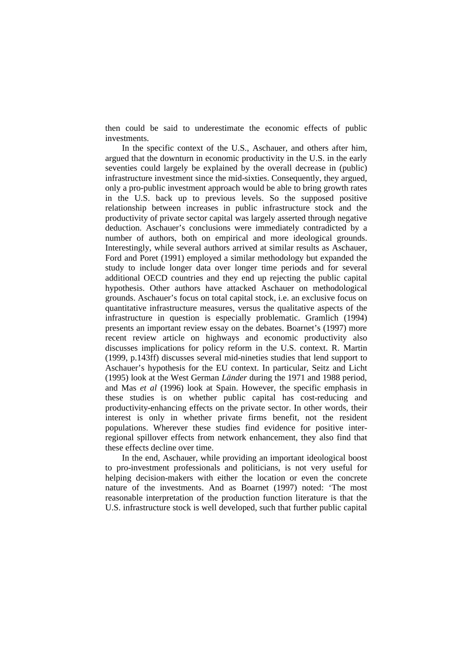then could be said to underestimate the economic effects of public investments.

In the specific context of the U.S., Aschauer, and others after him, argued that the downturn in economic productivity in the U.S. in the early seventies could largely be explained by the overall decrease in (public) infrastructure investment since the mid-sixties. Consequently, they argued, only a pro-public investment approach would be able to bring growth rates in the U.S. back up to previous levels. So the supposed positive relationship between increases in public infrastructure stock and the productivity of private sector capital was largely asserted through negative deduction. Aschauer's conclusions were immediately contradicted by a number of authors, both on empirical and more ideological grounds. Interestingly, while several authors arrived at similar results as Aschauer, Ford and Poret (1991) employed a similar methodology but expanded the study to include longer data over longer time periods and for several additional OECD countries and they end up rejecting the public capital hypothesis. Other authors have attacked Aschauer on methodological grounds. Aschauer's focus on total capital stock, i.e. an exclusive focus on quantitative infrastructure measures, versus the qualitative aspects of the infrastructure in question is especially problematic. Gramlich (1994) presents an important review essay on the debates. Boarnet's (1997) more recent review article on highways and economic productivity also discusses implications for policy reform in the U.S. context. R. Martin (1999, p.143ff) discusses several mid-nineties studies that lend support to Aschauer's hypothesis for the EU context. In particular, Seitz and Licht (1995) look at the West German *Länder* during the 1971 and 1988 period, and Mas *et al* (1996) look at Spain. However, the specific emphasis in these studies is on whether public capital has cost-reducing and productivity-enhancing effects on the private sector. In other words, their interest is only in whether private firms benefit, not the resident populations. Wherever these studies find evidence for positive interregional spillover effects from network enhancement, they also find that these effects decline over time.

In the end, Aschauer, while providing an important ideological boost to pro-investment professionals and politicians, is not very useful for helping decision-makers with either the location or even the concrete nature of the investments. And as Boarnet (1997) noted: 'The most reasonable interpretation of the production function literature is that the U.S. infrastructure stock is well developed, such that further public capital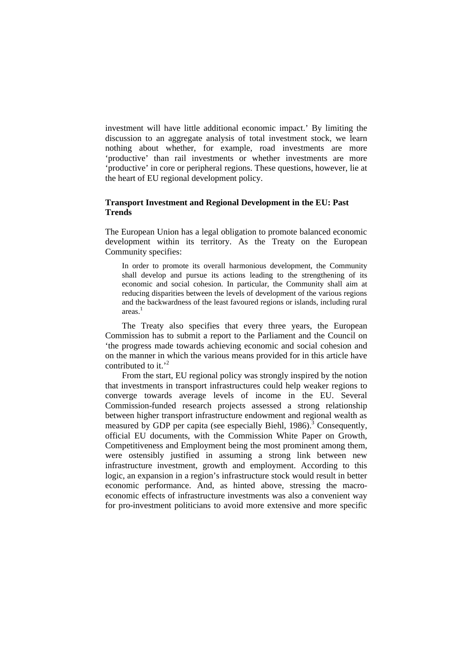investment will have little additional economic impact.' By limiting the discussion to an aggregate analysis of total investment stock, we learn nothing about whether, for example, road investments are more 'productive' than rail investments or whether investments are more 'productive' in core or peripheral regions. These questions, however, lie at the heart of EU regional development policy.

# **Transport Investment and Regional Development in the EU: Past Trends**

The European Union has a legal obligation to promote balanced economic development within its territory. As the Treaty on the European Community specifies:

In order to promote its overall harmonious development, the Community shall develop and pursue its actions leading to the strengthening of its economic and social cohesion. In particular, the Community shall aim at reducing disparities between the levels of development of the various regions and the backwardness of the least favoured regions or islands, including rural areas.<sup>1</sup>

The Treaty also specifies that every three years, the European Commission has to submit a report to the Parliament and the Council on 'the progress made towards achieving economic and social cohesion and on the manner in which the various means provided for in this article have contributed to it.<sup>2</sup>

From the start, EU regional policy was strongly inspired by the notion that investments in transport infrastructures could help weaker regions to converge towards average levels of income in the EU. Several Commission-funded research projects assessed a strong relationship between higher transport infrastructure endowment and regional wealth as measured by GDP per capita (see especially Biehl, 1986).<sup>3</sup> Consequently, official EU documents, with the Commission White Paper on Growth, Competitiveness and Employment being the most prominent among them, were ostensibly justified in assuming a strong link between new infrastructure investment, growth and employment. According to this logic, an expansion in a region's infrastructure stock would result in better economic performance. And, as hinted above, stressing the macroeconomic effects of infrastructure investments was also a convenient way for pro-investment politicians to avoid more extensive and more specific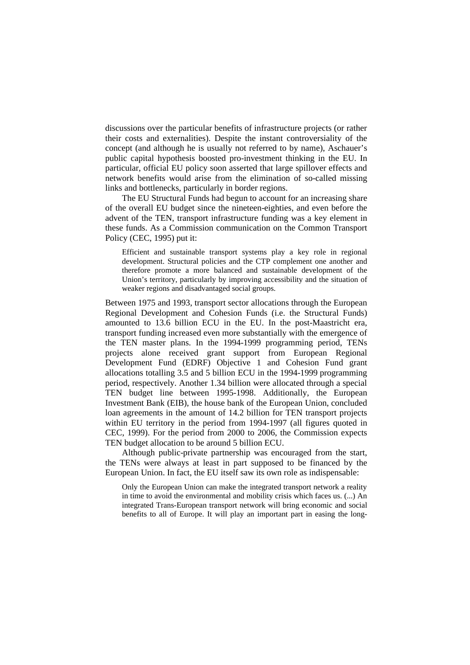discussions over the particular benefits of infrastructure projects (or rather their costs and externalities). Despite the instant controversiality of the concept (and although he is usually not referred to by name), Aschauer's public capital hypothesis boosted pro-investment thinking in the EU. In particular, official EU policy soon asserted that large spillover effects and network benefits would arise from the elimination of so-called missing links and bottlenecks, particularly in border regions.

The EU Structural Funds had begun to account for an increasing share of the overall EU budget since the nineteen-eighties, and even before the advent of the TEN, transport infrastructure funding was a key element in these funds. As a Commission communication on the Common Transport Policy (CEC, 1995) put it:

Efficient and sustainable transport systems play a key role in regional development. Structural policies and the CTP complement one another and therefore promote a more balanced and sustainable development of the Union's territory, particularly by improving accessibility and the situation of weaker regions and disadvantaged social groups.

Between 1975 and 1993, transport sector allocations through the European Regional Development and Cohesion Funds (i.e. the Structural Funds) amounted to 13.6 billion ECU in the EU. In the post-Maastricht era, transport funding increased even more substantially with the emergence of the TEN master plans. In the 1994-1999 programming period, TENs projects alone received grant support from European Regional Development Fund (EDRF) Objective 1 and Cohesion Fund grant allocations totalling 3.5 and 5 billion ECU in the 1994-1999 programming period, respectively. Another 1.34 billion were allocated through a special TEN budget line between 1995-1998. Additionally, the European Investment Bank (EIB), the house bank of the European Union, concluded loan agreements in the amount of 14.2 billion for TEN transport projects within EU territory in the period from 1994-1997 (all figures quoted in CEC, 1999). For the period from 2000 to 2006, the Commission expects TEN budget allocation to be around 5 billion ECU.

Although public-private partnership was encouraged from the start, the TENs were always at least in part supposed to be financed by the European Union. In fact, the EU itself saw its own role as indispensable:

Only the European Union can make the integrated transport network a reality in time to avoid the environmental and mobility crisis which faces us. (...) An integrated Trans-European transport network will bring economic and social benefits to all of Europe. It will play an important part in easing the long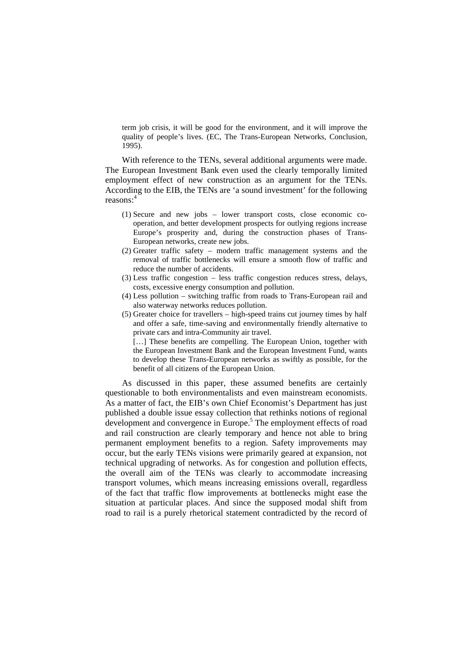term job crisis, it will be good for the environment, and it will improve the quality of people's lives. (EC, The Trans-European Networks, Conclusion, 1995).

With reference to the TENs, several additional arguments were made. The European Investment Bank even used the clearly temporally limited employment effect of new construction as an argument for the TENs. According to the EIB, the TENs are 'a sound investment' for the following reasons:<sup>4</sup>

- (1) Secure and new jobs lower transport costs, close economic cooperation, and better development prospects for outlying regions increase Europe's prosperity and, during the construction phases of Trans-European networks, create new jobs.
- (2) Greater traffic safety modern traffic management systems and the removal of traffic bottlenecks will ensure a smooth flow of traffic and reduce the number of accidents.
- (3) Less traffic congestion less traffic congestion reduces stress, delays, costs, excessive energy consumption and pollution.
- (4) Less pollution switching traffic from roads to Trans-European rail and also waterway networks reduces pollution.
- (5) Greater choice for travellers high-speed trains cut journey times by half and offer a safe, time-saving and environmentally friendly alternative to private cars and intra-Community air travel.

[...] These benefits are compelling. The European Union, together with the European Investment Bank and the European Investment Fund, wants to develop these Trans-European networks as swiftly as possible, for the benefit of all citizens of the European Union.

As discussed in this paper, these assumed benefits are certainly questionable to both environmentalists and even mainstream economists. As a matter of fact, the EIB's own Chief Economist's Department has just published a double issue essay collection that rethinks notions of regional development and convergence in Europe.<sup>5</sup> The employment effects of road and rail construction are clearly temporary and hence not able to bring permanent employment benefits to a region. Safety improvements may occur, but the early TENs visions were primarily geared at expansion, not technical upgrading of networks. As for congestion and pollution effects, the overall aim of the TENs was clearly to accommodate increasing transport volumes, which means increasing emissions overall, regardless of the fact that traffic flow improvements at bottlenecks might ease the situation at particular places. And since the supposed modal shift from road to rail is a purely rhetorical statement contradicted by the record of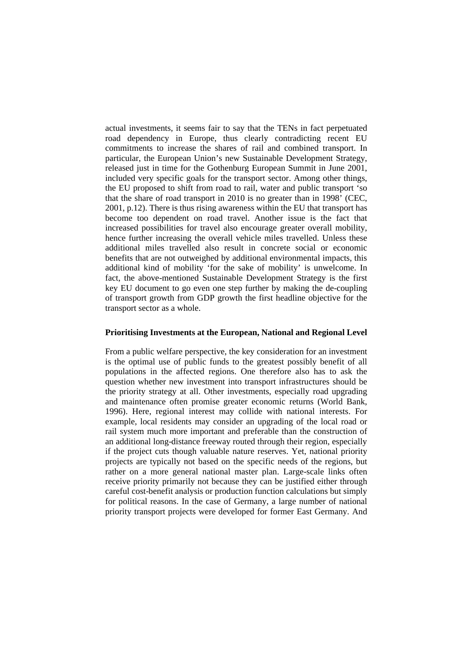actual investments, it seems fair to say that the TENs in fact perpetuated road dependency in Europe, thus clearly contradicting recent EU commitments to increase the shares of rail and combined transport. In particular, the European Union's new Sustainable Development Strategy, released just in time for the Gothenburg European Summit in June 2001, included very specific goals for the transport sector. Among other things, the EU proposed to shift from road to rail, water and public transport 'so that the share of road transport in 2010 is no greater than in 1998' (CEC, 2001, p.12). There is thus rising awareness within the EU that transport has become too dependent on road travel. Another issue is the fact that increased possibilities for travel also encourage greater overall mobility, hence further increasing the overall vehicle miles travelled. Unless these additional miles travelled also result in concrete social or economic benefits that are not outweighed by additional environmental impacts, this additional kind of mobility 'for the sake of mobility' is unwelcome. In fact, the above-mentioned Sustainable Development Strategy is the first key EU document to go even one step further by making the de-coupling of transport growth from GDP growth the first headline objective for the transport sector as a whole.

## **Prioritising Investments at the European, National and Regional Level**

From a public welfare perspective, the key consideration for an investment is the optimal use of public funds to the greatest possibly benefit of all populations in the affected regions. One therefore also has to ask the question whether new investment into transport infrastructures should be the priority strategy at all. Other investments, especially road upgrading and maintenance often promise greater economic returns (World Bank, 1996). Here, regional interest may collide with national interests. For example, local residents may consider an upgrading of the local road or rail system much more important and preferable than the construction of an additional long-distance freeway routed through their region, especially if the project cuts though valuable nature reserves. Yet, national priority projects are typically not based on the specific needs of the regions, but rather on a more general national master plan. Large-scale links often receive priority primarily not because they can be justified either through careful cost-benefit analysis or production function calculations but simply for political reasons. In the case of Germany, a large number of national priority transport projects were developed for former East Germany. And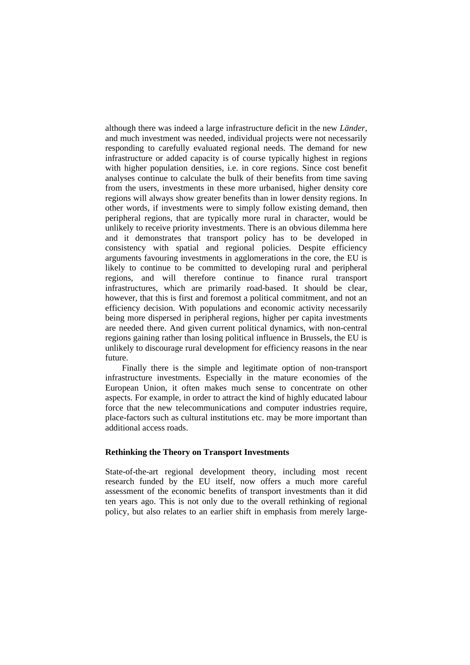although there was indeed a large infrastructure deficit in the new *Länder*, and much investment was needed, individual projects were not necessarily responding to carefully evaluated regional needs. The demand for new infrastructure or added capacity is of course typically highest in regions with higher population densities, i.e. in core regions. Since cost benefit analyses continue to calculate the bulk of their benefits from time saving from the users, investments in these more urbanised, higher density core regions will always show greater benefits than in lower density regions. In other words, if investments were to simply follow existing demand, then peripheral regions, that are typically more rural in character, would be unlikely to receive priority investments. There is an obvious dilemma here and it demonstrates that transport policy has to be developed in consistency with spatial and regional policies. Despite efficiency arguments favouring investments in agglomerations in the core, the EU is likely to continue to be committed to developing rural and peripheral regions, and will therefore continue to finance rural transport infrastructures, which are primarily road-based. It should be clear, however, that this is first and foremost a political commitment, and not an efficiency decision. With populations and economic activity necessarily being more dispersed in peripheral regions, higher per capita investments are needed there. And given current political dynamics, with non-central regions gaining rather than losing political influence in Brussels, the EU is unlikely to discourage rural development for efficiency reasons in the near future.

Finally there is the simple and legitimate option of non-transport infrastructure investments. Especially in the mature economies of the European Union, it often makes much sense to concentrate on other aspects. For example, in order to attract the kind of highly educated labour force that the new telecommunications and computer industries require, place-factors such as cultural institutions etc. may be more important than additional access roads.

## **Rethinking the Theory on Transport Investments**

State-of-the-art regional development theory, including most recent research funded by the EU itself, now offers a much more careful assessment of the economic benefits of transport investments than it did ten years ago. This is not only due to the overall rethinking of regional policy, but also relates to an earlier shift in emphasis from merely large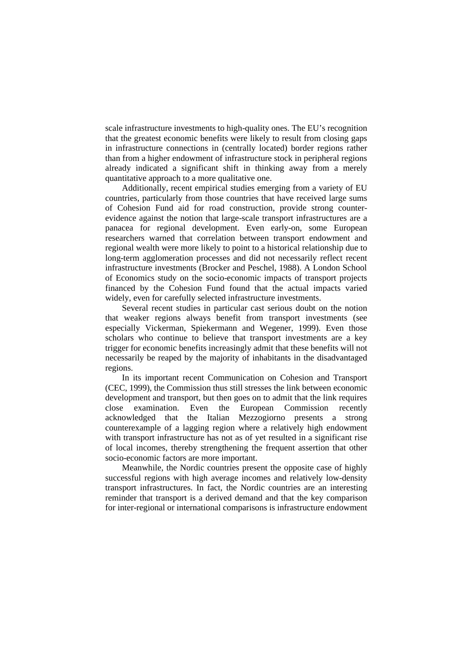scale infrastructure investments to high-quality ones. The EU's recognition that the greatest economic benefits were likely to result from closing gaps in infrastructure connections in (centrally located) border regions rather than from a higher endowment of infrastructure stock in peripheral regions already indicated a significant shift in thinking away from a merely quantitative approach to a more qualitative one.

Additionally, recent empirical studies emerging from a variety of EU countries, particularly from those countries that have received large sums of Cohesion Fund aid for road construction, provide strong counterevidence against the notion that large-scale transport infrastructures are a panacea for regional development. Even early-on, some European researchers warned that correlation between transport endowment and regional wealth were more likely to point to a historical relationship due to long-term agglomeration processes and did not necessarily reflect recent infrastructure investments (Brocker and Peschel, 1988). A London School of Economics study on the socio-economic impacts of transport projects financed by the Cohesion Fund found that the actual impacts varied widely, even for carefully selected infrastructure investments.

Several recent studies in particular cast serious doubt on the notion that weaker regions always benefit from transport investments (see especially Vickerman, Spiekermann and Wegener, 1999). Even those scholars who continue to believe that transport investments are a key trigger for economic benefits increasingly admit that these benefits will not necessarily be reaped by the majority of inhabitants in the disadvantaged regions.

In its important recent Communication on Cohesion and Transport (CEC, 1999), the Commission thus still stresses the link between economic development and transport, but then goes on to admit that the link requires close examination. Even the European Commission recently acknowledged that the Italian Mezzogiorno presents a strong counterexample of a lagging region where a relatively high endowment with transport infrastructure has not as of yet resulted in a significant rise of local incomes, thereby strengthening the frequent assertion that other socio-economic factors are more important.

Meanwhile, the Nordic countries present the opposite case of highly successful regions with high average incomes and relatively low-density transport infrastructures. In fact, the Nordic countries are an interesting reminder that transport is a derived demand and that the key comparison for inter-regional or international comparisons is infrastructure endowment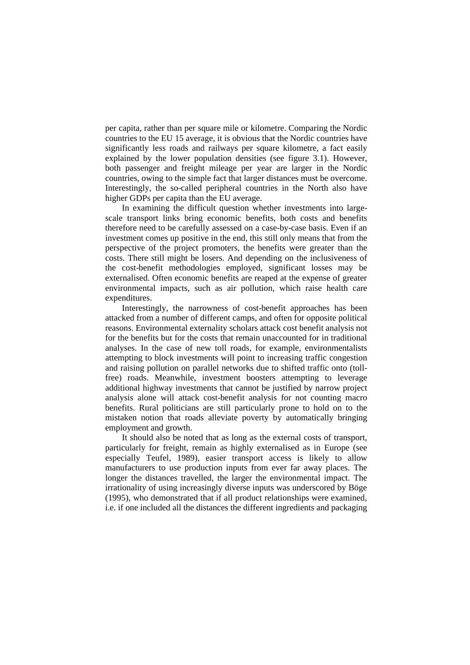per capita, rather than per square mile or kilometre. Comparing the Nordic countries to the EU 15 average, it is obvious that the Nordic countries have significantly less roads and railways per square kilometre, a fact easily explained by the lower population densities (see figure 3.1). However, both passenger and freight mileage per year are larger in the Nordic countries, owing to the simple fact that larger distances must be overcome. Interestingly, the so-called peripheral countries in the North also have higher GDPs per capita than the EU average.

In examining the difficult question whether investments into largescale transport links bring economic benefits, both costs and benefits therefore need to be carefully assessed on a case-by-case basis. Even if an investment comes up positive in the end, this still only means that from the perspective of the project promoters, the benefits were greater than the costs. There still might be losers. And depending on the inclusiveness of the cost-benefit methodologies employed, significant losses may be externalised. Often economic benefits are reaped at the expense of greater environmental impacts, such as air pollution, which raise health care expenditures.

Interestingly, the narrowness of cost-benefit approaches has been attacked from a number of different camps, and often for opposite political reasons. Environmental externality scholars attack cost benefit analysis not for the benefits but for the costs that remain unaccounted for in traditional analyses. In the case of new toll roads, for example, environmentalists attempting to block investments will point to increasing traffic congestion and raising pollution on parallel networks due to shifted traffic onto (tollfree) roads. Meanwhile, investment boosters attempting to leverage additional highway investments that cannot be justified by narrow project analysis alone will attack cost-benefit analysis for not counting macro benefits. Rural politicians are still particularly prone to hold on to the mistaken notion that roads alleviate poverty by automatically bringing employment and growth.

It should also be noted that as long as the external costs of transport, particularly for freight, remain as highly externalised as in Europe (see especially Teufel, 1989), easier transport access is likely to allow manufacturers to use production inputs from ever far away places. The longer the distances travelled, the larger the environmental impact. The irrationality of using increasingly diverse inputs was underscored by Böge (1995), who demonstrated that if all product relationships were examined, i.e. if one included all the distances the different ingredients and packaging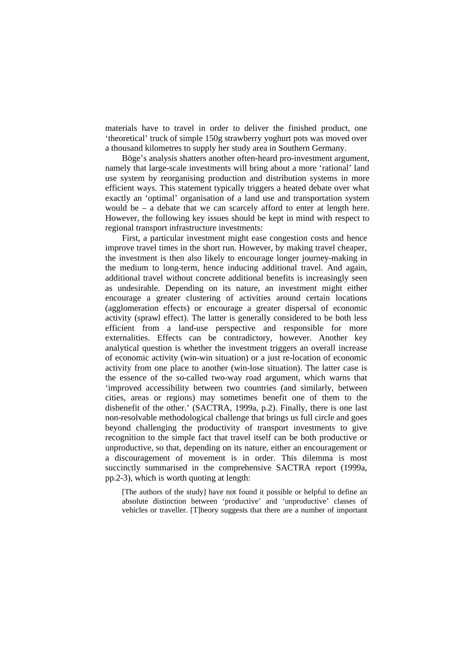materials have to travel in order to deliver the finished product, one 'theoretical' truck of simple 150g strawberry yoghurt pots was moved over a thousand kilometres to supply her study area in Southern Germany.

Böge's analysis shatters another often-heard pro-investment argument, namely that large-scale investments will bring about a more 'rational' land use system by reorganising production and distribution systems in more efficient ways. This statement typically triggers a heated debate over what exactly an 'optimal' organisation of a land use and transportation system would be – a debate that we can scarcely afford to enter at length here. However, the following key issues should be kept in mind with respect to regional transport infrastructure investments:

First, a particular investment might ease congestion costs and hence improve travel times in the short run. However, by making travel cheaper, the investment is then also likely to encourage longer journey-making in the medium to long-term, hence inducing additional travel. And again, additional travel without concrete additional benefits is increasingly seen as undesirable. Depending on its nature, an investment might either encourage a greater clustering of activities around certain locations (agglomeration effects) or encourage a greater dispersal of economic activity (sprawl effect). The latter is generally considered to be both less efficient from a land-use perspective and responsible for more externalities. Effects can be contradictory, however. Another key analytical question is whether the investment triggers an overall increase of economic activity (win-win situation) or a just re-location of economic activity from one place to another (win-lose situation). The latter case is the essence of the so-called two-way road argument, which warns that 'improved accessibility between two countries (and similarly, between cities, areas or regions) may sometimes benefit one of them to the disbenefit of the other.' (SACTRA, 1999a, p.2). Finally, there is one last non-resolvable methodological challenge that brings us full circle and goes beyond challenging the productivity of transport investments to give recognition to the simple fact that travel itself can be both productive or unproductive, so that, depending on its nature, either an encouragement or a discouragement of movement is in order. This dilemma is most succinctly summarised in the comprehensive SACTRA report (1999a, pp.2-3), which is worth quoting at length:

[The authors of the study] have not found it possible or helpful to define an absolute distinction between 'productive' and 'unproductive' classes of vehicles or traveller. [T]heory suggests that there are a number of important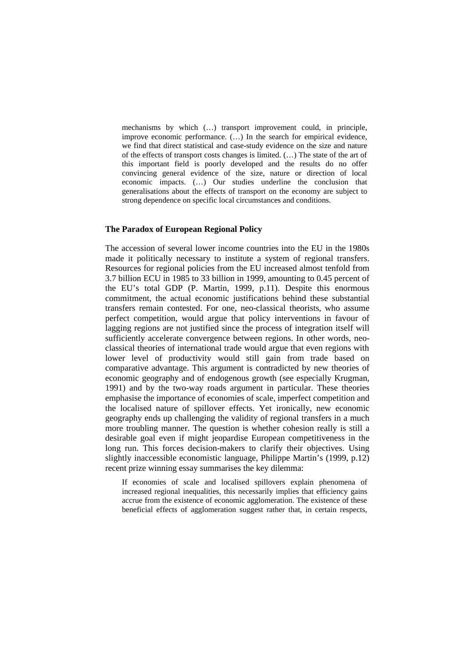mechanisms by which (…) transport improvement could, in principle, improve economic performance. (…) In the search for empirical evidence, we find that direct statistical and case-study evidence on the size and nature of the effects of transport costs changes is limited. (…) The state of the art of this important field is poorly developed and the results do no offer convincing general evidence of the size, nature or direction of local economic impacts. (…) Our studies underline the conclusion that generalisations about the effects of transport on the economy are subject to strong dependence on specific local circumstances and conditions.

## **The Paradox of European Regional Policy**

The accession of several lower income countries into the EU in the 1980s made it politically necessary to institute a system of regional transfers. Resources for regional policies from the EU increased almost tenfold from 3.7 billion ECU in 1985 to 33 billion in 1999, amounting to 0.45 percent of the EU's total GDP (P. Martin, 1999, p.11). Despite this enormous commitment, the actual economic justifications behind these substantial transfers remain contested. For one, neo-classical theorists, who assume perfect competition, would argue that policy interventions in favour of lagging regions are not justified since the process of integration itself will sufficiently accelerate convergence between regions. In other words, neoclassical theories of international trade would argue that even regions with lower level of productivity would still gain from trade based on comparative advantage. This argument is contradicted by new theories of economic geography and of endogenous growth (see especially Krugman, 1991) and by the two-way roads argument in particular. These theories emphasise the importance of economies of scale, imperfect competition and the localised nature of spillover effects. Yet ironically, new economic geography ends up challenging the validity of regional transfers in a much more troubling manner. The question is whether cohesion really is still a desirable goal even if might jeopardise European competitiveness in the long run. This forces decision-makers to clarify their objectives. Using slightly inaccessible economistic language, Philippe Martin's (1999, p.12) recent prize winning essay summarises the key dilemma:

If economies of scale and localised spillovers explain phenomena of increased regional inequalities, this necessarily implies that efficiency gains accrue from the existence of economic agglomeration. The existence of these beneficial effects of agglomeration suggest rather that, in certain respects,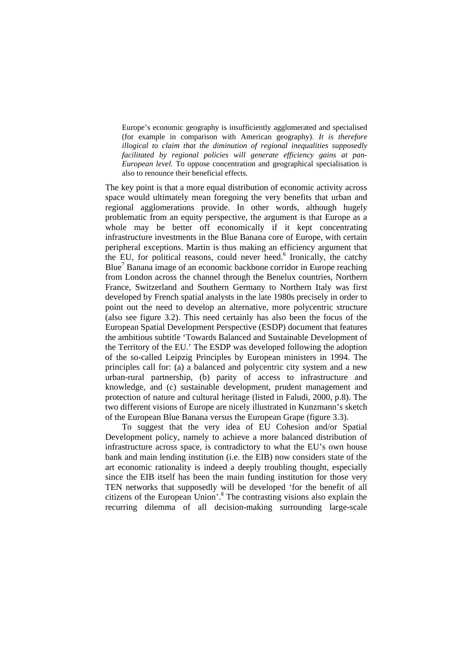Europe's economic geography is insufficiently agglomerated and specialised (for example in comparison with American geography). *It is therefore illogical to claim that the diminution of regional inequalities supposedly facilitated by regional policies will generate efficiency gains at pan-European level.* To oppose concentration and geographical specialisation is also to renounce their beneficial effects.

The key point is that a more equal distribution of economic activity across space would ultimately mean foregoing the very benefits that urban and regional agglomerations provide. In other words, although hugely problematic from an equity perspective, the argument is that Europe as a whole may be better off economically if it kept concentrating infrastructure investments in the Blue Banana core of Europe, with certain peripheral exceptions. Martin is thus making an efficiency argument that the EU, for political reasons, could never heed.<sup>6</sup> Ironically, the catchy Blue<sup>7</sup> Banana image of an economic backbone corridor in Europe reaching from London across the channel through the Benelux countries, Northern France, Switzerland and Southern Germany to Northern Italy was first developed by French spatial analysts in the late 1980s precisely in order to point out the need to develop an alternative, more polycentric structure (also see figure 3.2). This need certainly has also been the focus of the European Spatial Development Perspective (ESDP) document that features the ambitious subtitle 'Towards Balanced and Sustainable Development of the Territory of the EU.' The ESDP was developed following the adoption of the so-called Leipzig Principles by European ministers in 1994. The principles call for: (a) a balanced and polycentric city system and a new urban-rural partnership, (b) parity of access to infrastructure and knowledge, and (c) sustainable development, prudent management and protection of nature and cultural heritage (listed in Faludi, 2000, p.8). The two different visions of Europe are nicely illustrated in Kunzmann's sketch of the European Blue Banana versus the European Grape (figure 3.3).

To suggest that the very idea of EU Cohesion and/or Spatial Development policy, namely to achieve a more balanced distribution of infrastructure across space, is contradictory to what the EU's own house bank and main lending institution (i.e. the EIB) now considers state of the art economic rationality is indeed a deeply troubling thought, especially since the EIB itself has been the main funding institution for those very TEN networks that supposedly will be developed 'for the benefit of all citizens of the European Union'.<sup>8</sup> The contrasting visions also explain the recurring dilemma of all decision-making surrounding large-scale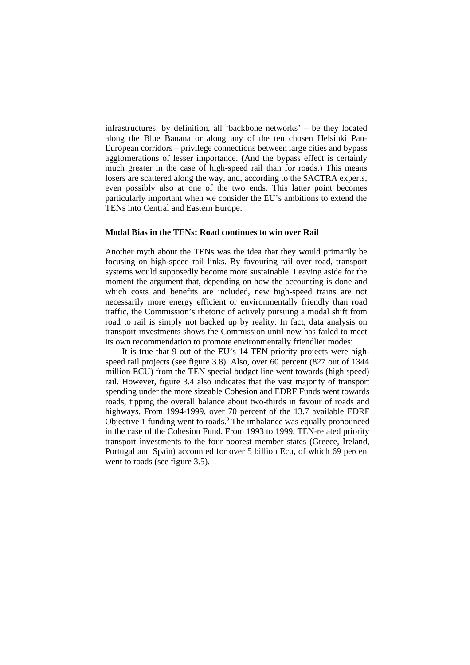infrastructures: by definition, all 'backbone networks' – be they located along the Blue Banana or along any of the ten chosen Helsinki Pan-European corridors – privilege connections between large cities and bypass agglomerations of lesser importance. (And the bypass effect is certainly much greater in the case of high-speed rail than for roads.) This means losers are scattered along the way, and, according to the SACTRA experts, even possibly also at one of the two ends. This latter point becomes particularly important when we consider the EU's ambitions to extend the TENs into Central and Eastern Europe.

#### **Modal Bias in the TENs: Road continues to win over Rail**

Another myth about the TENs was the idea that they would primarily be focusing on high-speed rail links. By favouring rail over road, transport systems would supposedly become more sustainable. Leaving aside for the moment the argument that, depending on how the accounting is done and which costs and benefits are included, new high-speed trains are not necessarily more energy efficient or environmentally friendly than road traffic, the Commission's rhetoric of actively pursuing a modal shift from road to rail is simply not backed up by reality. In fact, data analysis on transport investments shows the Commission until now has failed to meet its own recommendation to promote environmentally friendlier modes:

It is true that 9 out of the EU's 14 TEN priority projects were highspeed rail projects (see figure 3.8). Also, over 60 percent (827 out of 1344 million ECU) from the TEN special budget line went towards (high speed) rail. However, figure 3.4 also indicates that the vast majority of transport spending under the more sizeable Cohesion and EDRF Funds went towards roads, tipping the overall balance about two-thirds in favour of roads and highways. From 1994-1999, over 70 percent of the 13.7 available EDRF Objective 1 funding went to roads.<sup>9</sup> The imbalance was equally pronounced in the case of the Cohesion Fund. From 1993 to 1999, TEN-related priority transport investments to the four poorest member states (Greece, Ireland, Portugal and Spain) accounted for over 5 billion Ecu, of which 69 percent went to roads (see figure 3.5).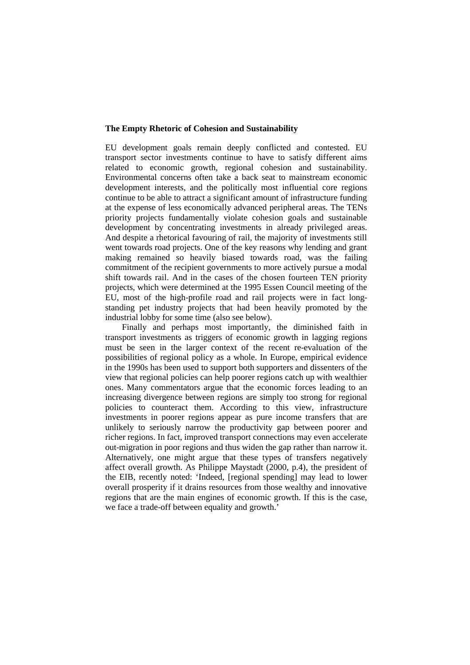## **The Empty Rhetoric of Cohesion and Sustainability**

EU development goals remain deeply conflicted and contested. EU transport sector investments continue to have to satisfy different aims related to economic growth, regional cohesion and sustainability. Environmental concerns often take a back seat to mainstream economic development interests, and the politically most influential core regions continue to be able to attract a significant amount of infrastructure funding at the expense of less economically advanced peripheral areas. The TENs priority projects fundamentally violate cohesion goals and sustainable development by concentrating investments in already privileged areas. And despite a rhetorical favouring of rail, the majority of investments still went towards road projects. One of the key reasons why lending and grant making remained so heavily biased towards road, was the failing commitment of the recipient governments to more actively pursue a modal shift towards rail. And in the cases of the chosen fourteen TEN priority projects, which were determined at the 1995 Essen Council meeting of the EU, most of the high-profile road and rail projects were in fact longstanding pet industry projects that had been heavily promoted by the industrial lobby for some time (also see below).

Finally and perhaps most importantly, the diminished faith in transport investments as triggers of economic growth in lagging regions must be seen in the larger context of the recent re-evaluation of the possibilities of regional policy as a whole. In Europe, empirical evidence in the 1990s has been used to support both supporters and dissenters of the view that regional policies can help poorer regions catch up with wealthier ones. Many commentators argue that the economic forces leading to an increasing divergence between regions are simply too strong for regional policies to counteract them. According to this view, infrastructure investments in poorer regions appear as pure income transfers that are unlikely to seriously narrow the productivity gap between poorer and richer regions. In fact, improved transport connections may even accelerate out-migration in poor regions and thus widen the gap rather than narrow it. Alternatively, one might argue that these types of transfers negatively affect overall growth. As Philippe Maystadt (2000, p.4), the president of the EIB, recently noted: 'Indeed, [regional spending] may lead to lower overall prosperity if it drains resources from those wealthy and innovative regions that are the main engines of economic growth. If this is the case, we face a trade-off between equality and growth.'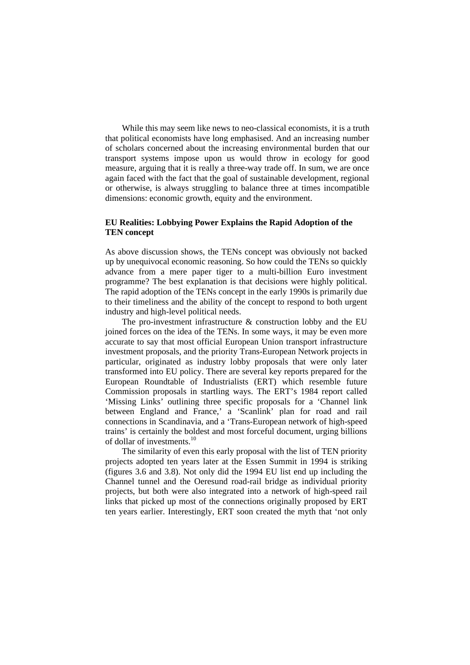While this may seem like news to neo-classical economists, it is a truth that political economists have long emphasised. And an increasing number of scholars concerned about the increasing environmental burden that our transport systems impose upon us would throw in ecology for good measure, arguing that it is really a three-way trade off. In sum, we are once again faced with the fact that the goal of sustainable development, regional or otherwise, is always struggling to balance three at times incompatible dimensions: economic growth, equity and the environment.

# **EU Realities: Lobbying Power Explains the Rapid Adoption of the TEN concept**

As above discussion shows, the TENs concept was obviously not backed up by unequivocal economic reasoning. So how could the TENs so quickly advance from a mere paper tiger to a multi-billion Euro investment programme? The best explanation is that decisions were highly political. The rapid adoption of the TENs concept in the early 1990s is primarily due to their timeliness and the ability of the concept to respond to both urgent industry and high-level political needs.

The pro-investment infrastructure  $\&$  construction lobby and the EU joined forces on the idea of the TENs. In some ways, it may be even more accurate to say that most official European Union transport infrastructure investment proposals, and the priority Trans-European Network projects in particular, originated as industry lobby proposals that were only later transformed into EU policy. There are several key reports prepared for the European Roundtable of Industrialists (ERT) which resemble future Commission proposals in startling ways. The ERT's 1984 report called 'Missing Links' outlining three specific proposals for a 'Channel link between England and France,' a 'Scanlink' plan for road and rail connections in Scandinavia, and a 'Trans-European network of high-speed trains' is certainly the boldest and most forceful document, urging billions of dollar of investments.<sup>10</sup>

The similarity of even this early proposal with the list of TEN priority projects adopted ten years later at the Essen Summit in 1994 is striking (figures 3.6 and 3.8). Not only did the 1994 EU list end up including the Channel tunnel and the Oeresund road-rail bridge as individual priority projects, but both were also integrated into a network of high-speed rail links that picked up most of the connections originally proposed by ERT ten years earlier. Interestingly, ERT soon created the myth that 'not only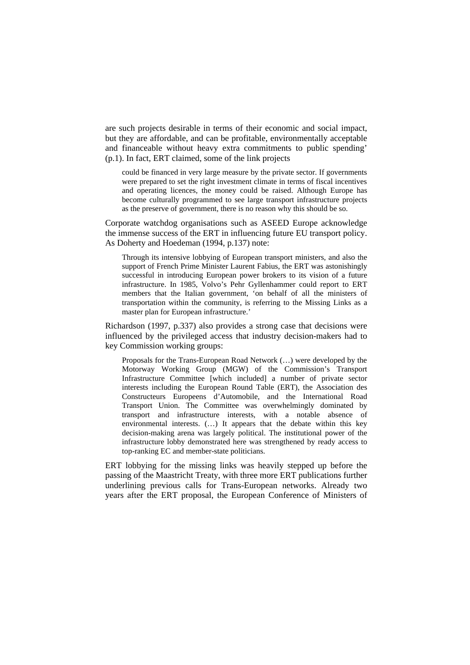are such projects desirable in terms of their economic and social impact, but they are affordable, and can be profitable, environmentally acceptable and financeable without heavy extra commitments to public spending' (p.1). In fact, ERT claimed, some of the link projects

could be financed in very large measure by the private sector. If governments were prepared to set the right investment climate in terms of fiscal incentives and operating licences, the money could be raised. Although Europe has become culturally programmed to see large transport infrastructure projects as the preserve of government, there is no reason why this should be so.

Corporate watchdog organisations such as ASEED Europe acknowledge the immense success of the ERT in influencing future EU transport policy. As Doherty and Hoedeman (1994, p.137) note:

Through its intensive lobbying of European transport ministers, and also the support of French Prime Minister Laurent Fabius, the ERT was astonishingly successful in introducing European power brokers to its vision of a future infrastructure. In 1985, Volvo's Pehr Gyllenhammer could report to ERT members that the Italian government, 'on behalf of all the ministers of transportation within the community, is referring to the Missing Links as a master plan for European infrastructure.'

Richardson (1997, p.337) also provides a strong case that decisions were influenced by the privileged access that industry decision-makers had to key Commission working groups:

Proposals for the Trans-European Road Network (…) were developed by the Motorway Working Group (MGW) of the Commission's Transport Infrastructure Committee [which included] a number of private sector interests including the European Round Table (ERT), the Association des Constructeurs Europeens d'Automobile, and the International Road Transport Union. The Committee was overwhelmingly dominated by transport and infrastructure interests, with a notable absence of environmental interests. (…) It appears that the debate within this key decision-making arena was largely political. The institutional power of the infrastructure lobby demonstrated here was strengthened by ready access to top-ranking EC and member-state politicians.

ERT lobbying for the missing links was heavily stepped up before the passing of the Maastricht Treaty, with three more ERT publications further underlining previous calls for Trans-European networks. Already two years after the ERT proposal, the European Conference of Ministers of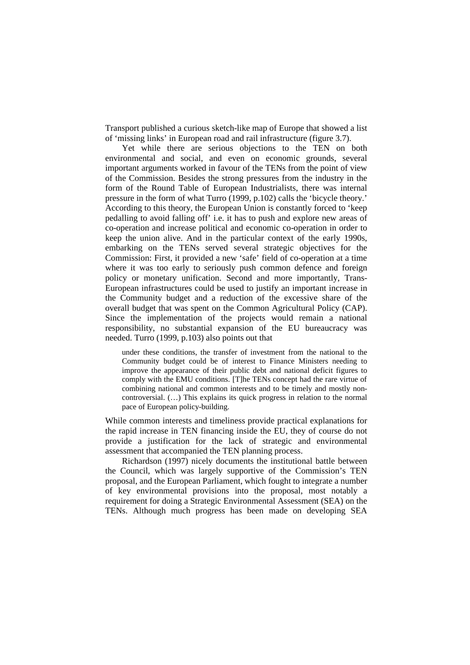Transport published a curious sketch-like map of Europe that showed a list of 'missing links' in European road and rail infrastructure (figure 3.7).

Yet while there are serious objections to the TEN on both environmental and social, and even on economic grounds, several important arguments worked in favour of the TENs from the point of view of the Commission. Besides the strong pressures from the industry in the form of the Round Table of European Industrialists, there was internal pressure in the form of what Turro (1999, p.102) calls the 'bicycle theory.' According to this theory, the European Union is constantly forced to 'keep pedalling to avoid falling off' i.e. it has to push and explore new areas of co-operation and increase political and economic co-operation in order to keep the union alive. And in the particular context of the early 1990s, embarking on the TENs served several strategic objectives for the Commission: First, it provided a new 'safe' field of co-operation at a time where it was too early to seriously push common defence and foreign policy or monetary unification. Second and more importantly, Trans-European infrastructures could be used to justify an important increase in the Community budget and a reduction of the excessive share of the overall budget that was spent on the Common Agricultural Policy (CAP). Since the implementation of the projects would remain a national responsibility, no substantial expansion of the EU bureaucracy was needed. Turro (1999, p.103) also points out that

under these conditions, the transfer of investment from the national to the Community budget could be of interest to Finance Ministers needing to improve the appearance of their public debt and national deficit figures to comply with the EMU conditions. [T]he TENs concept had the rare virtue of combining national and common interests and to be timely and mostly noncontroversial. (…) This explains its quick progress in relation to the normal pace of European policy-building.

While common interests and timeliness provide practical explanations for the rapid increase in TEN financing inside the EU, they of course do not provide a justification for the lack of strategic and environmental assessment that accompanied the TEN planning process.

Richardson (1997) nicely documents the institutional battle between the Council, which was largely supportive of the Commission's TEN proposal, and the European Parliament, which fought to integrate a number of key environmental provisions into the proposal, most notably a requirement for doing a Strategic Environmental Assessment (SEA) on the TENs. Although much progress has been made on developing SEA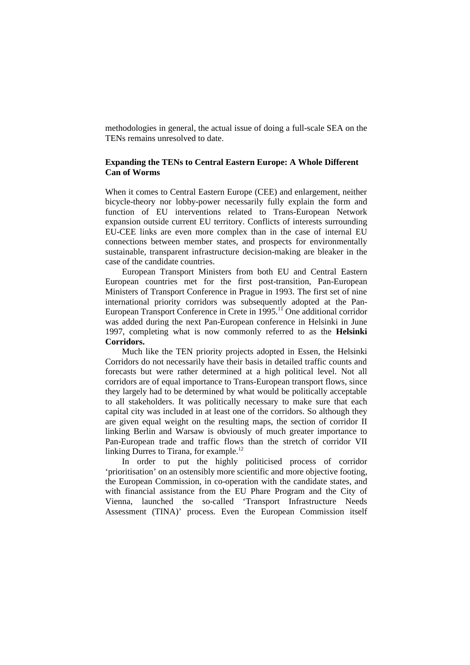methodologies in general, the actual issue of doing a full-scale SEA on the TENs remains unresolved to date.

# **Expanding the TENs to Central Eastern Europe: A Whole Different Can of Worms**

When it comes to Central Eastern Europe (CEE) and enlargement, neither bicycle-theory nor lobby-power necessarily fully explain the form and function of EU interventions related to Trans-European Network expansion outside current EU territory. Conflicts of interests surrounding EU-CEE links are even more complex than in the case of internal EU connections between member states, and prospects for environmentally sustainable, transparent infrastructure decision-making are bleaker in the case of the candidate countries.

European Transport Ministers from both EU and Central Eastern European countries met for the first post-transition, Pan-European Ministers of Transport Conference in Prague in 1993. The first set of nine international priority corridors was subsequently adopted at the Pan-European Transport Conference in Crete in 1995.<sup>11</sup> One additional corridor was added during the next Pan-European conference in Helsinki in June 1997, completing what is now commonly referred to as the **Helsinki Corridors.**

Much like the TEN priority projects adopted in Essen, the Helsinki Corridors do not necessarily have their basis in detailed traffic counts and forecasts but were rather determined at a high political level. Not all corridors are of equal importance to Trans-European transport flows, since they largely had to be determined by what would be politically acceptable to all stakeholders. It was politically necessary to make sure that each capital city was included in at least one of the corridors. So although they are given equal weight on the resulting maps, the section of corridor II linking Berlin and Warsaw is obviously of much greater importance to Pan-European trade and traffic flows than the stretch of corridor VII linking Durres to Tirana, for example.<sup>12</sup>

In order to put the highly politicised process of corridor 'prioritisation' on an ostensibly more scientific and more objective footing, the European Commission, in co-operation with the candidate states, and with financial assistance from the EU Phare Program and the City of Vienna, launched the so-called 'Transport Infrastructure Needs Assessment (TINA)' process. Even the European Commission itself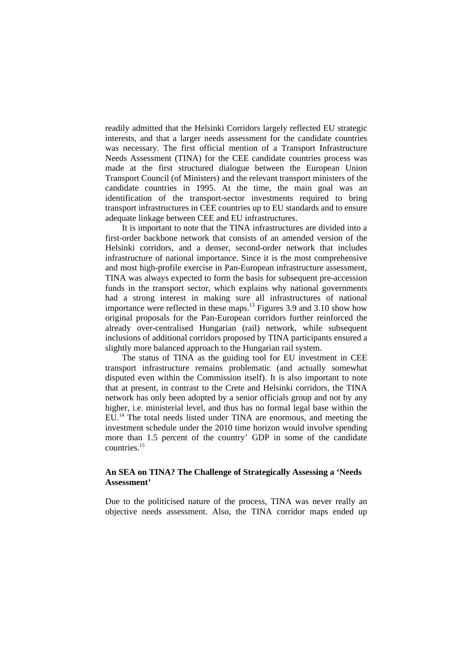readily admitted that the Helsinki Corridors largely reflected EU strategic interests, and that a larger needs assessment for the candidate countries was necessary. The first official mention of a Transport Infrastructure Needs Assessment (TINA) for the CEE candidate countries process was made at the first structured dialogue between the European Union Transport Council (of Ministers) and the relevant transport ministers of the candidate countries in 1995. At the time, the main goal was an identification of the transport-sector investments required to bring transport infrastructures in CEE countries up to EU standards and to ensure adequate linkage between CEE and EU infrastructures.

It is important to note that the TINA infrastructures are divided into a first-order backbone network that consists of an amended version of the Helsinki corridors, and a denser, second-order network that includes infrastructure of national importance. Since it is the most comprehensive and most high-profile exercise in Pan-European infrastructure assessment, TINA was always expected to form the basis for subsequent pre-accession funds in the transport sector, which explains why national governments had a strong interest in making sure all infrastructures of national importance were reflected in these maps.<sup>13</sup> Figures 3.9 and 3.10 show how original proposals for the Pan-European corridors further reinforced the already over-centralised Hungarian (rail) network, while subsequent inclusions of additional corridors proposed by TINA participants ensured a slightly more balanced approach to the Hungarian rail system.

The status of TINA as the guiding tool for EU investment in CEE transport infrastructure remains problematic (and actually somewhat disputed even within the Commission itself). It is also important to note that at present, in contrast to the Crete and Helsinki corridors, the TINA network has only been adopted by a senior officials group and not by any higher, i.e. ministerial level, and thus has no formal legal base within the EU.<sup>14</sup> The total needs listed under TINA are enormous, and meeting the investment schedule under the 2010 time horizon would involve spending more than 1.5 percent of the country' GDP in some of the candidate countries.<sup>15</sup>

# **An SEA on TINA? The Challenge of Strategically Assessing a 'Needs Assessment'**

Due to the politicised nature of the process, TINA was never really an objective needs assessment. Also, the TINA corridor maps ended up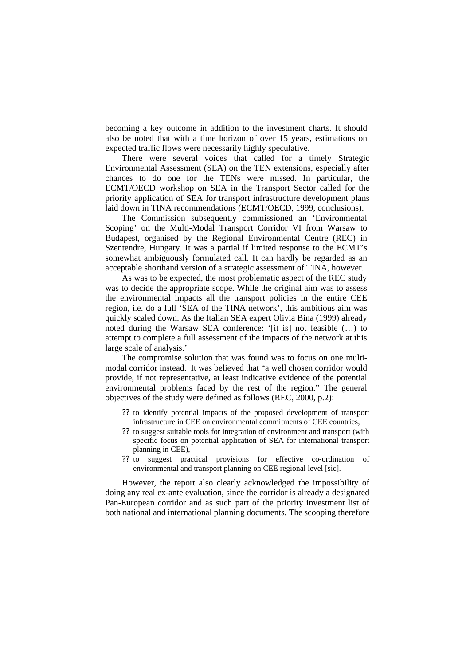becoming a key outcome in addition to the investment charts. It should also be noted that with a time horizon of over 15 years, estimations on expected traffic flows were necessarily highly speculative.

There were several voices that called for a timely Strategic Environmental Assessment (SEA) on the TEN extensions, especially after chances to do one for the TENs were missed. In particular, the ECMT/OECD workshop on SEA in the Transport Sector called for the priority application of SEA for transport infrastructure development plans laid down in TINA recommendations (ECMT/OECD, 1999, conclusions).

The Commission subsequently commissioned an 'Environmental Scoping' on the Multi-Modal Transport Corridor VI from Warsaw to Budapest, organised by the Regional Environmental Centre (REC) in Szentendre, Hungary. It was a partial if limited response to the ECMT's somewhat ambiguously formulated call. It can hardly be regarded as an acceptable shorthand version of a strategic assessment of TINA, however.

As was to be expected, the most problematic aspect of the REC study was to decide the appropriate scope. While the original aim was to assess the environmental impacts all the transport policies in the entire CEE region, i.e. do a full 'SEA of the TINA network', this ambitious aim was quickly scaled down. As the Italian SEA expert Olivia Bina (1999) already noted during the Warsaw SEA conference: '[it is] not feasible (…) to attempt to complete a full assessment of the impacts of the network at this large scale of analysis.'

The compromise solution that was found was to focus on one multimodal corridor instead. It was believed that "a well chosen corridor would provide, if not representative, at least indicative evidence of the potential environmental problems faced by the rest of the region." The general objectives of the study were defined as follows (REC, 2000, p.2):

- ?? to identify potential impacts of the proposed development of transport infrastructure in CEE on environmental commitments of CEE countries,
- ?? to suggest suitable tools for integration of environment and transport (with specific focus on potential application of SEA for international transport planning in CEE),
- ?? to suggest practical provisions for effective co-ordination of environmental and transport planning on CEE regional level [sic].

However, the report also clearly acknowledged the impossibility of doing any real ex-ante evaluation, since the corridor is already a designated Pan-European corridor and as such part of the priority investment list of both national and international planning documents. The scooping therefore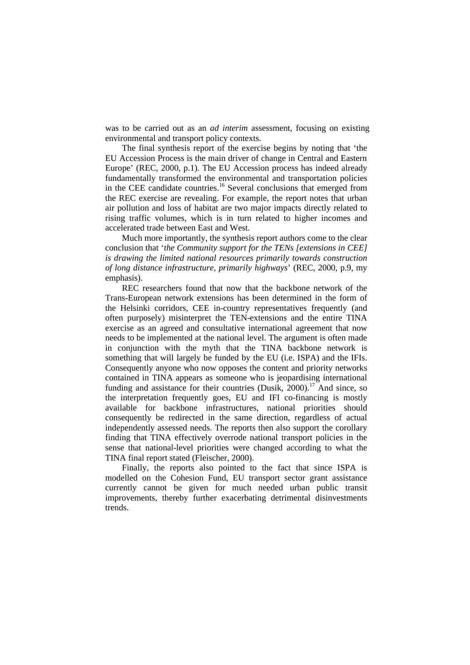was to be carried out as an *ad interim* assessment, focusing on existing environmental and transport policy contexts.

The final synthesis report of the exercise begins by noting that 'the EU Accession Process is the main driver of change in Central and Eastern Europe' (REC, 2000, p.1). The EU Accession process has indeed already fundamentally transformed the environmental and transportation policies in the CEE candidate countries.<sup>16</sup> Several conclusions that emerged from the REC exercise are revealing. For example, the report notes that urban air pollution and loss of habitat are two major impacts directly related to rising traffic volumes, which is in turn related to higher incomes and accelerated trade between East and West.

Much more importantly, the synthesis report authors come to the clear conclusion that '*the Community support for the TENs [extensions in CEE] is drawing the limited national resources primarily towards construction of long distance infrastructure, primarily highways*' (REC, 2000, p.9, my emphasis).

REC researchers found that now that the backbone network of the Trans-European network extensions has been determined in the form of the Helsinki corridors, CEE in-country representatives frequently (and often purposely) misinterpret the TEN-extensions and the entire TINA exercise as an agreed and consultative international agreement that now needs to be implemented at the national level. The argument is often made in conjunction with the myth that the TINA backbone network is something that will largely be funded by the EU (i.e. ISPA) and the IFIs. Consequently anyone who now opposes the content and priority networks contained in TINA appears as someone who is jeopardising international funding and assistance for their countries (Dusik,  $2000$ ).<sup>17</sup> And since, so the interpretation frequently goes, EU and IFI co-financing is mostly available for backbone infrastructures, national priorities should consequently be redirected in the same direction, regardless of actual independently assessed needs. The reports then also support the corollary finding that TINA effectively overrode national transport policies in the sense that national-level priorities were changed according to what the TINA final report stated (Fleischer, 2000).

Finally, the reports also pointed to the fact that since ISPA is modelled on the Cohesion Fund, EU transport sector grant assistance currently cannot be given for much needed urban public transit improvements, thereby further exacerbating detrimental disinvestments trends.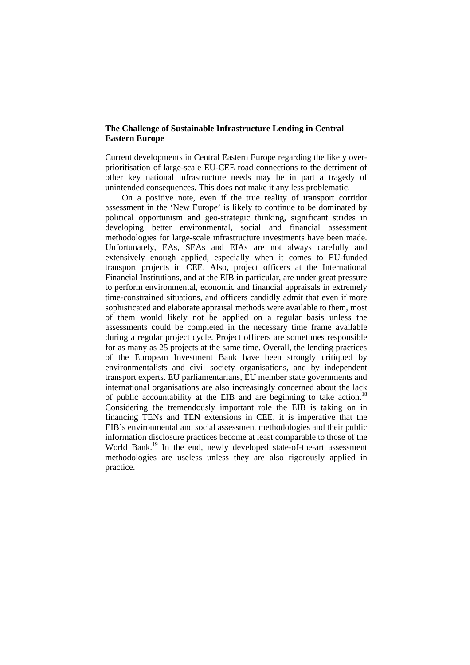## **The Challenge of Sustainable Infrastructure Lending in Central Eastern Europe**

Current developments in Central Eastern Europe regarding the likely overprioritisation of large-scale EU-CEE road connections to the detriment of other key national infrastructure needs may be in part a tragedy of unintended consequences. This does not make it any less problematic.

On a positive note, even if the true reality of transport corridor assessment in the 'New Europe' is likely to continue to be dominated by political opportunism and geo-strategic thinking, significant strides in developing better environmental, social and financial assessment methodologies for large-scale infrastructure investments have been made. Unfortunately, EAs, SEAs and EIAs are not always carefully and extensively enough applied, especially when it comes to EU-funded transport projects in CEE. Also, project officers at the International Financial Institutions, and at the EIB in particular, are under great pressure to perform environmental, economic and financial appraisals in extremely time-constrained situations, and officers candidly admit that even if more sophisticated and elaborate appraisal methods were available to them, most of them would likely not be applied on a regular basis unless the assessments could be completed in the necessary time frame available during a regular project cycle. Project officers are sometimes responsible for as many as 25 projects at the same time. Overall, the lending practices of the European Investment Bank have been strongly critiqued by environmentalists and civil society organisations, and by independent transport experts. EU parliamentarians, EU member state governments and international organisations are also increasingly concerned about the lack of public accountability at the EIB and are beginning to take action.<sup>18</sup> Considering the tremendously important role the EIB is taking on in financing TENs and TEN extensions in CEE, it is imperative that the EIB's environmental and social assessment methodologies and their public information disclosure practices become at least comparable to those of the World Bank.<sup>19</sup> In the end, newly developed state-of-the-art assessment methodologies are useless unless they are also rigorously applied in practice.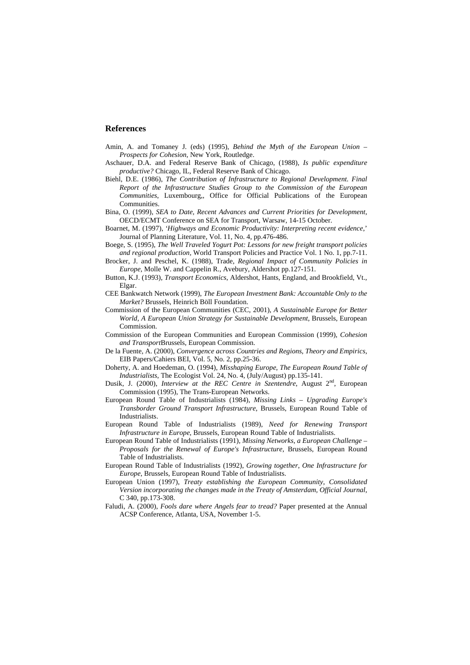#### **References**

- Amin, A. and Tomaney J. (eds) (1995), *Behind the Myth of the European Union – Prospects for Cohesion*, New York, Routledge.
- Aschauer, D.A. and Federal Reserve Bank of Chicago, (1988), *Is public expenditure productive?* Chicago, IL, Federal Reserve Bank of Chicago.
- Biehl, D.E. (1986), *The Contribution of Infrastructure to Regional Development. Final Report of the Infrastructure Studies Group to the Commission of the European Communities*, Luxembourg,, Office for Official Publications of the European Communities.
- Bina, O. (1999), *SEA to Date, Recent Advances and Current Priorities for Development*, OECD/ECMT Conference on SEA for Transport, Warsaw, 14-15 October.
- Boarnet, M. (1997), '*Highways and Economic Productivity: Interpreting recent evidence*,' Journal of Planning Literature, Vol. 11, No. 4, pp.476-486.
- Boege, S. (1995), *The Well Traveled Yogurt Pot: Lessons for new freight transport policies and regional production,* World Transport Policies and Practice Vol. 1 No. 1, pp.7-11.
- Brocker, J. and Peschel, K. (1988), Trade, *Regional Impact of Community Policies in Europe*, Molle W. and Cappelin R., Avebury, Aldershot pp.127-151.
- Button, K.J. (1993), *Transport Economics*, Aldershot, Hants, England, and Brookfield, Vt., Elgar.
- CEE Bankwatch Network (1999), *The European Investment Bank: Accountable Only to the Market?* Brussels, Heinrich Böll Foundation.
- Commission of the European Communities (CEC, 2001), *A Sustainable Europe for Better World*, *A European Union Strategy for Sustainable Development*, Brussels, European Commission.
- Commission of the European Communities and European Commission (1999), *Cohesion and Transport*Brussels, European Commission.
- De la Fuente, A. (2000), *Convergence across Countries and Regions*, *Theory and Empirics*, EIB Papers/Cahiers BEI, Vol. 5, No. 2, pp.25-36.
- Doherty, A. and Hoedeman, O. (1994), *Misshaping Europe*, *The European Round Table of Industrialists*, The Ecologist Vol. 24, No. 4, (July/August) pp.135-141.
- Dusik, J. (2000), *Interview at the REC Centre in Szentendre*, August 2<sup>nd</sup>, European Commission (1995), The Trans-European Networks.
- European Round Table of Industrialists (1984), *Missing Links Upgrading Europe's Transborder Ground Transport Infrastructure*, Brussels, European Round Table of Industrialists.
- European Round Table of Industrialists (1989), *Need for Renewing Transport Infrastructure in Europe*, Brussels, European Round Table of Industrialists.
- European Round Table of Industrialists (1991), *Missing Networks*, *a European Challenge – Proposals for the Renewal of Europe's Infrastructure*, Brussels, European Round Table of Industrialists.
- European Round Table of Industrialists (1992), *Growing together*, *One Infrastructure for Europe*, Brussels, European Round Table of Industrialists.
- European Union (1997), *Treaty establishing the European Community*, *Consolidated Version incorporating the changes made in the Treaty of Amsterdam, Official Journal*, C 340, pp.173-308.
- Faludi, A. (2000), *Fools dare where Angels fear to tread?* Paper presented at the Annual ACSP Conference, Atlanta, USA, November 1-5.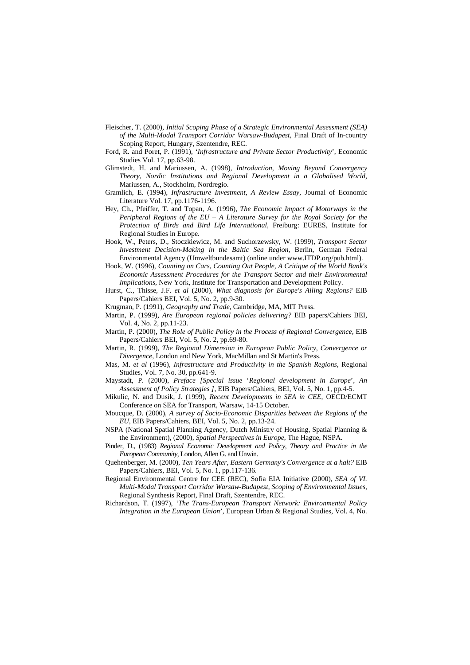- Fleischer, T. (2000), *Initial Scoping Phase of a Strategic Environmental Assessment (SEA) of the Multi-Modal Transport Corridor Warsaw-Budapest*, Final Draft of In-country Scoping Report, Hungary, Szentendre, REC.
- Ford, R. and Poret, P. (1991), '*Infrastructure and Private Sector Productivity*', Economic Studies Vol. 17, pp.63-98.
- Glimstedt, H. and Mariussen, A. (1998), *Introduction*, *Moving Beyond Convergency Theory*, *Nordic Institutions and Regional Development in a Globalised World*, Mariussen, A., Stockholm, Nordregio.
- Gramlich, E. (1994), *Infrastructure Investment*, *A Review Essay*, Journal of Economic Literature Vol. 17, pp.1176-1196.
- Hey, Ch., Pfeiffer, T. and Topan, A. (1996), *The Economic Impact of Motorways in the Peripheral Regions of the EU – A Literature Survey for the Royal Society for the Protection of Birds and Bird Life International*, Freiburg: EURES, Institute for Regional Studies in Europe.
- Hook, W., Peters, D., Stoczkiewicz, M. and Suchorzewsky, W. (1999), *Transport Sector Investment Decision-Making in the Baltic Sea Region*, Berlin, German Federal Environmental Agency (Umweltbundesamt) (online under www.ITDP.org/pub.html).
- Hook, W. (1996), *Counting on Cars, Counting Out People, A Critique of the World Bank's Economic Assessment Procedures for the Transport Sector and their Environmental Implications*, New York, Institute for Transportation and Development Policy.
- Hurst, C., Thisse, J.F. *et al* (2000), *What diagnosis for Europe's Ailing Regions?* EIB Papers/Cahiers BEI, Vol. 5, No. 2, pp.9-30.
- Krugman, P. (1991), *Geography and Trade*, Cambridge, MA, MIT Press.
- Martin, P. (1999), *Are European regional policies delivering?* EIB papers/Cahiers BEI, Vol. 4, No. 2, pp.11-23.
- Martin, P. (2000), *The Role of Public Policy in the Process of Regional Convergence*, EIB Papers/Cahiers BEI, Vol. 5, No. 2, pp.69-80.
- Martin, R. (1999), *The Regional Dimension in European Public Policy, Convergence or Divergence*, London and New York, MacMillan and St Martin's Press.
- Mas, M. *et al* (1996), *Infrastructure and Productivity in the Spanish Regions*, Regional Studies, Vol. 7, No. 30, pp.641-9.
- Maystadt, P. (2000), *Preface [Special issue* '*Regional development in Europe*', *An Assessment of Policy Strategies ]*, EIB Papers/Cahiers, BEI, Vol. 5, No. 1, pp.4-5.
- Mikulic, N. and Dusik, J. (1999), *Recent Developments in SEA in CEE*, OECD/ECMT Conference on SEA for Transport, Warsaw, 14-15 October.
- Moucque, D. (2000), *A survey of Socio-Economic Disparities between the Regions of the EU*, EIB Papers/Cahiers, BEI, Vol. 5, No. 2, pp.13-24.
- NSPA (National Spatial Planning Agency, Dutch Ministry of Housing, Spatial Planning & the Environment), (2000), *Spatial Perspectives in Europe*, The Hague, NSPA.
- Pinder, D., (1983) *Regional Economic Development and Policy*, *Theory and Practice in the European Community*, London, Allen G. and Unwin.
- Quehenberger, M. (2000), *Ten Years After*, *Eastern Germany's Convergence at a halt?* EIB Papers/Cahiers, BEI, Vol. 5, No. 1, pp.117-136.
- Regional Environmental Centre for CEE (REC), Sofia EIA Initiative (2000), *SEA of VI. Multi-Modal Transport Corridor Warsaw-Budapest*, *Scoping of Environmental Issues*, Regional Synthesis Report, Final Draft, Szentendre, REC.
- Richardson, T. (1997), *'The Trans-European Transport Network: Environmental Policy Integration in the European Union*', European Urban & Regional Studies, Vol. 4, No.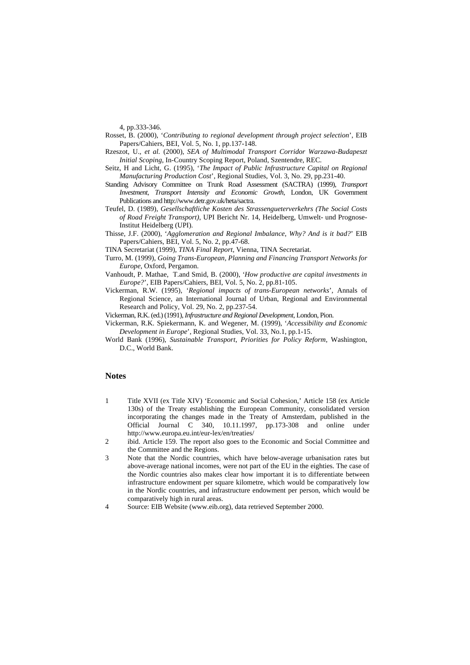4, pp.333-346.

- Rosset, B. (2000), '*Contributing to regional development through project selection*', EIB Papers/Cahiers, BEI, Vol. 5, No. 1, pp.137-148.
- Rzeszot, U., *et al.* (2000), *SEA of Multimodal Transport Corridor Warzawa-Budapeszt Initial Scoping*, In-Country Scoping Report, Poland, Szentendre, REC.
- Seitz, H and Licht, G. (1995), '*The Impact of Public Infrastructure Capital on Regional Manufacturing Production Cost*', Regional Studies, Vol. 3, No. 29, pp.231-40.
- Standing Advisory Committee on Trunk Road Assessment (SACTRA) (1999), *Transport Investment*, *Transport Intensity and Economic Growth*, London, UK Government Publications and http://www.detr.gov.uk/heta/sactra.
- Teufel, D. (1989), *Gesellschaftliche Kosten des Strassengueterverkehrs (The Social Costs of Road Freight Transport)*, UPI Bericht Nr. 14, Heidelberg, Umwelt- und Prognose-Institut Heidelberg (UPI).
- Thisse, J.F. (2000), '*Agglomeration and Regional Imbalance*, *Why? And is it bad?*' EIB Papers/Cahiers, BEI, Vol. 5, No. 2, pp.47-68.
- TINA Secretariat (1999), *TINA Final Report*, Vienna, TINA Secretariat.
- Turro, M. (1999), *Going Trans-European, Planning and Financing Transport Networks for Europe*, Oxford, Pergamon.
- Vanhoudt, P. Mathae, T.and Smid, B. (2000), '*How productive are capital investments in Europe?*', EIB Papers/Cahiers, BEI, Vol. 5, No. 2, pp.81-105.
- Vickerman, R.W. (1995), '*Regional impacts of trans-European networks*', Annals of Regional Science, an International Journal of Urban, Regional and Environmental Research and Policy, Vol. 29, No. 2, pp.237-54.
- Vickerman, R.K. (ed.) (1991), *Infrastructure and Regional Development*, London, Pion.
- Vickerman, R.K. Spiekermann, K. and Wegener, M. (1999), '*Accessibility and Economic Development in Europe*', Regional Studies, Vol. 33, No.1, pp.1-15.
- World Bank (1996), *Sustainable Transport*, *Priorities for Policy Reform*, Washington, D.C., World Bank.

## **Notes**

- 1 Title XVII (ex Title XIV) 'Economic and Social Cohesion,' Article 158 (ex Article 130s) of the Treaty establishing the European Community, consolidated version incorporating the changes made in the Treaty of Amsterdam, published in the Official Journal C 340, 10.11.1997, pp.173-308 and online under http://www.europa.eu.int/eur-lex/en/treaties/
- 2 ibid. Article 159. The report also goes to the Economic and Social Committee and the Committee and the Regions.
- 3 Note that the Nordic countries, which have below-average urbanisation rates but above-average national incomes, were not part of the EU in the eighties. The case of the Nordic countries also makes clear how important it is to differentiate between infrastructure endowment per square kilometre, which would be comparatively low in the Nordic countries, and infrastructure endowment per person, which would be comparatively high in rural areas.
- 4 Source: EIB Website (www.eib.org), data retrieved September 2000.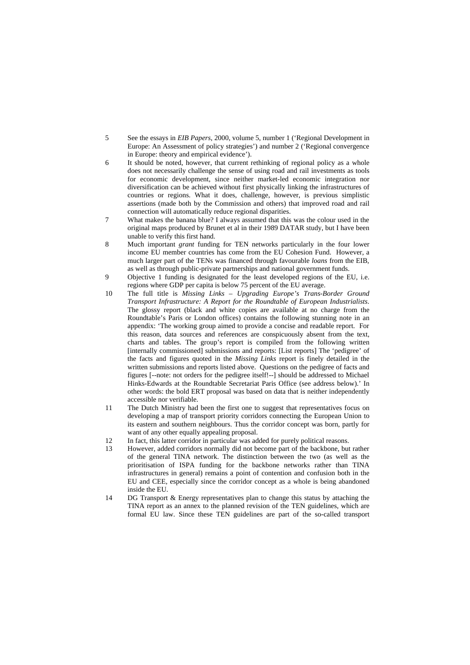- 5 See the essays in *EIB Papers*, 2000, volume 5, number 1 ('Regional Development in Europe: An Assessment of policy strategies') and number 2 ('Regional convergence in Europe: theory and empirical evidence').
- 6 It should be noted, however, that current rethinking of regional policy as a whole does not necessarily challenge the sense of using road and rail investments as tools for economic development, since neither market-led economic integration nor diversification can be achieved without first physically linking the infrastructures of countries or regions. What it does, challenge, however, is previous simplistic assertions (made both by the Commission and others) that improved road and rail connection will automatically reduce regional disparities.
- 7 What makes the banana blue? I always assumed that this was the colour used in the original maps produced by Brunet et al in their 1989 DATAR study, but I have been unable to verify this first hand.
- 8 Much important *grant* funding for TEN networks particularly in the four lower income EU member countries has come from the EU Cohesion Fund. However, a much larger part of the TENs was financed through favourable *loans* from the EIB, as well as through public-private partnerships and national government funds.
- 9 Objective 1 funding is designated for the least developed regions of the EU, i.e. regions where GDP per capita is below 75 percent of the EU average.
- 10 The full title is *Missing Links Upgrading Europe's Trans-Border Ground Transport Infrastructure: A Report for the Roundtable of European Industrialists.* The glossy report (black and white copies are available at no charge from the Roundtable's Paris or London offices) contains the following stunning note in an appendix: 'The working group aimed to provide a concise and readable report. For this reason, data sources and references are conspicuously absent from the text, charts and tables. The group's report is compiled from the following written [internally commissioned] submissions and reports: [List reports] The 'pedigree' of the facts and figures quoted in the *Missing Links* report is finely detailed in the written submissions and reports listed above. Questions on the pedigree of facts and figures [--note: not orders for the pedigree itself!--] should be addressed to Michael Hinks-Edwards at the Roundtable Secretariat Paris Office (see address below).' In other words: the bold ERT proposal was based on data that is neither independently accessible nor verifiable.
- 11 The Dutch Ministry had been the first one to suggest that representatives focus on developing a map of transport priority corridors connecting the European Union to its eastern and southern neighbours. Thus the corridor concept was born, partly for want of any other equally appealing proposal.
- 12 In fact, this latter corridor in particular was added for purely political reasons.
- 13 However, added corridors normally did not become part of the backbone, but rather of the general TINA network. The distinction between the two (as well as the prioritisation of ISPA funding for the backbone networks rather than TINA infrastructures in general) remains a point of contention and confusion both in the EU and CEE, especially since the corridor concept as a whole is being abandoned inside the EU.
- 14 DG Transport & Energy representatives plan to change this status by attaching the TINA report as an annex to the planned revision of the TEN guidelines, which are formal EU law. Since these TEN guidelines are part of the so-called transport